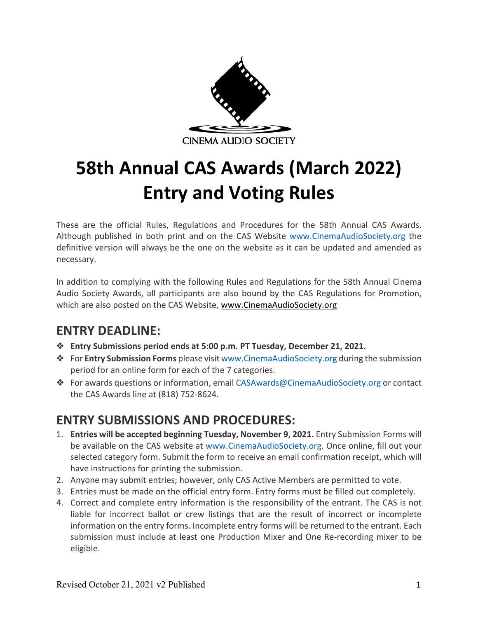

# **58th Annual CAS Awards (March 2022) Entry and Voting Rules**

These are the official Rules, Regulations and Procedures for the 58th Annual CAS Awards. Although published in both print and on the CAS Website www.CinemaAudioSociety.org the definitive version will always be the one on the website as it can be updated and amended as necessary.

In addition to complying with the following Rules and Regulations for the 58th Annual Cinema Audio Society Awards, all participants are also bound by the CAS Regulations for Promotion, which are also posted on the CAS Website, www.CinemaAudioSociety.org

# **ENTRY DEADLINE:**

- ❖ **Entry Submissions period ends at 5:00 p.m. PT Tuesday, December 21, 2021.**
- ❖ For **Entry Submission Forms** please visit www.CinemaAudioSociety.org during the submission period for an online form for each of the 7 categories.
- ❖ For awards questions or information, email CASAwards@CinemaAudioSociety.org or contact the CAS Awards line at (818) 752-8624.

# **ENTRY SUBMISSIONS AND PROCEDURES:**

- 1. **Entries will be accepted beginning Tuesday, November 9, 2021.** Entry Submission Forms will be available on the CAS website at www.CinemaAudioSociety.org. Once online, fill out your selected category form. Submit the form to receive an email confirmation receipt, which will have instructions for printing the submission.
- 2. Anyone may submit entries; however, only CAS Active Members are permitted to vote.
- 3. Entries must be made on the official entry form. Entry forms must be filled out completely.
- 4. Correct and complete entry information is the responsibility of the entrant. The CAS is not liable for incorrect ballot or crew listings that are the result of incorrect or incomplete information on the entry forms. Incomplete entry forms will be returned to the entrant. Each submission must include at least one Production Mixer and One Re-recording mixer to be eligible.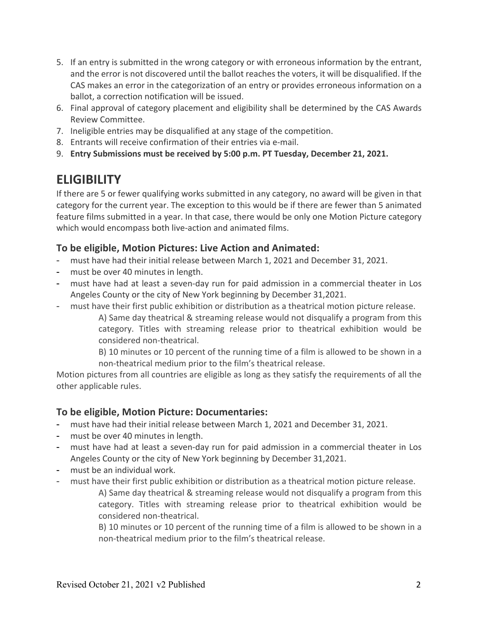- 5. If an entry is submitted in the wrong category or with erroneous information by the entrant, and the error is not discovered until the ballot reaches the voters, it will be disqualified. If the CAS makes an error in the categorization of an entry or provides erroneous information on a ballot, a correction notification will be issued.
- 6. Final approval of category placement and eligibility shall be determined by the CAS Awards Review Committee.
- 7. Ineligible entries may be disqualified at any stage of the competition.
- 8. Entrants will receive confirmation of their entries via e-mail.
- 9. **Entry Submissions must be received by 5:00 p.m. PT Tuesday, December 21, 2021.**

# **ELIGIBILITY**

If there are 5 or fewer qualifying works submitted in any category, no award will be given in that category for the current year. The exception to this would be if there are fewer than 5 animated feature films submitted in a year. In that case, there would be only one Motion Picture category which would encompass both live-action and animated films.

#### **To be eligible, Motion Pictures: Live Action and Animated:**

- must have had their initial release between March 1, 2021 and December 31, 2021.
- must be over 40 minutes in length.
- must have had at least a seven-day run for paid admission in a commercial theater in Los Angeles County or the city of New York beginning by December 31,2021.
- must have their first public exhibition or distribution as a theatrical motion picture release.

A) Same day theatrical & streaming release would not disqualify a program from this category. Titles with streaming release prior to theatrical exhibition would be considered non-theatrical.

B) 10 minutes or 10 percent of the running time of a film is allowed to be shown in a non-theatrical medium prior to the film's theatrical release.

Motion pictures from all countries are eligible as long as they satisfy the requirements of all the other applicable rules.

#### **To be eligible, Motion Picture: Documentaries:**

- must have had their initial release between March 1, 2021 and December 31, 2021.
- must be over 40 minutes in length.
- must have had at least a seven-day run for paid admission in a commercial theater in Los Angeles County or the city of New York beginning by December 31,2021.
- must be an individual work.
- must have their first public exhibition or distribution as a theatrical motion picture release.

A) Same day theatrical & streaming release would not disqualify a program from this category. Titles with streaming release prior to theatrical exhibition would be considered non-theatrical.

B) 10 minutes or 10 percent of the running time of a film is allowed to be shown in a non-theatrical medium prior to the film's theatrical release.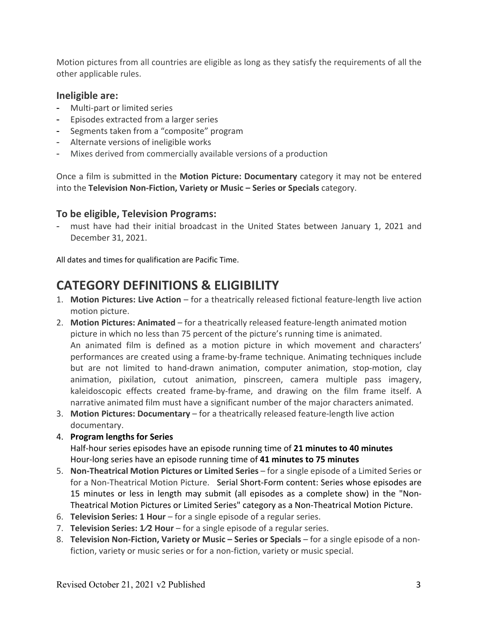Motion pictures from all countries are eligible as long as they satisfy the requirements of all the other applicable rules.

#### **Ineligible are:**

- Multi-part or limited series
- Episodes extracted from a larger series
- Segments taken from a "composite" program
- Alternate versions of ineligible works
- Mixes derived from commercially available versions of a production

Once a film is submitted in the **Motion Picture: Documentary** category it may not be entered into the **Television Non-Fiction, Variety or Music – Series or Specials** category.

#### **To be eligible, Television Programs:**

must have had their initial broadcast in the United States between January 1, 2021 and December 31, 2021.

All dates and times for qualification are Pacific Time.

# **CATEGORY DEFINITIONS & ELIGIBILITY**

- 1. **Motion Pictures: Live Action**  for a theatrically released fictional feature-length live action motion picture.
- 2. **Motion Pictures: Animated**  for a theatrically released feature-length animated motion picture in which no less than 75 percent of the picture's running time is animated. An animated film is defined as a motion picture in which movement and characters' performances are created using a frame-by-frame technique. Animating techniques include but are not limited to hand-drawn animation, computer animation, stop-motion, clay animation, pixilation, cutout animation, pinscreen, camera multiple pass imagery, kaleidoscopic effects created frame-by-frame, and drawing on the film frame itself. A narrative animated film must have a significant number of the major characters animated.
- 3. **Motion Pictures: Documentary**  for a theatrically released feature-length live action documentary.
- 4. **Program lengths for Series** Half-hour series episodes have an episode running time of **21 minutes to 40 minutes**
- Hour-long series have an episode running time of **41 minutes to 75 minutes** 5. **Non-Theatrical Motion Pictures or Limited Series** – for a single episode of a Limited Series or for a Non-Theatrical Motion Picture. Serial Short-Form content: Series whose episodes are 15 minutes or less in length may submit (all episodes as a complete show) in the "Non-
- Theatrical Motion Pictures or Limited Series" category as a Non-Theatrical Motion Picture.
- 6. **Television Series: 1 Hour**  for a single episode of a regular series.
- 7. **Television Series: 1/2 Hour** for a single episode of a regular series.
- 8. **Television Non-Fiction, Variety or Music – Series or Specials**  for a single episode of a nonfiction, variety or music series or for a non-fiction, variety or music special.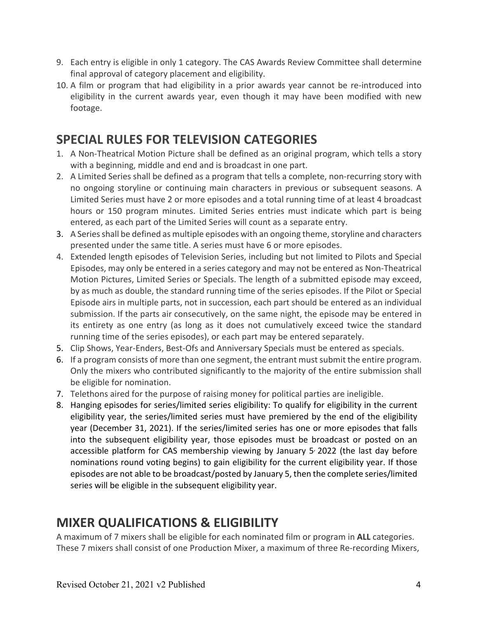- 9. Each entry is eligible in only 1 category. The CAS Awards Review Committee shall determine final approval of category placement and eligibility.
- 10. A film or program that had eligibility in a prior awards year cannot be re-introduced into eligibility in the current awards year, even though it may have been modified with new footage.

## **SPECIAL RULES FOR TELEVISION CATEGORIES**

- 1. A Non-Theatrical Motion Picture shall be defined as an original program, which tells a story with a beginning, middle and end and is broadcast in one part.
- 2. A Limited Series shall be defined as a program that tells a complete, non-recurring story with no ongoing storyline or continuing main characters in previous or subsequent seasons. A Limited Series must have 2 or more episodes and a total running time of at least 4 broadcast hours or 150 program minutes. Limited Series entries must indicate which part is being entered, as each part of the Limited Series will count as a separate entry.
- 3. A Series shall be defined as multiple episodes with an ongoing theme, storyline and characters presented under the same title. A series must have 6 or more episodes.
- 4. Extended length episodes of Television Series, including but not limited to Pilots and Special Episodes, may only be entered in a series category and may not be entered as Non-Theatrical Motion Pictures, Limited Series or Specials. The length of a submitted episode may exceed, by as much as double, the standard running time of the series episodes. If the Pilot or Special Episode airs in multiple parts, not in succession, each part should be entered as an individual submission. If the parts air consecutively, on the same night, the episode may be entered in its entirety as one entry (as long as it does not cumulatively exceed twice the standard running time of the series episodes), or each part may be entered separately.
- 5. Clip Shows, Year-Enders, Best-Ofs and Anniversary Specials must be entered as specials.
- 6. If a program consists of more than one segment, the entrant must submit the entire program. Only the mixers who contributed significantly to the majority of the entire submission shall be eligible for nomination.
- 7. Telethons aired for the purpose of raising money for political parties are ineligible.
- 8. Hanging episodes for series/limited series eligibility: To qualify for eligibility in the current eligibility year, the series/limited series must have premiered by the end of the eligibility year (December 31, 2021). If the series/limited series has one or more episodes that falls into the subsequent eligibility year, those episodes must be broadcast or posted on an accessible platform for CAS membership viewing by January  $5'$  2022 (the last day before nominations round voting begins) to gain eligibility for the current eligibility year. If those episodes are not able to be broadcast/posted by January 5, then the complete series/limited series will be eligible in the subsequent eligibility year.

### **MIXER QUALIFICATIONS & ELIGIBILITY**

A maximum of 7 mixers shall be eligible for each nominated film or program in **ALL** categories. These 7 mixers shall consist of one Production Mixer, a maximum of three Re-recording Mixers,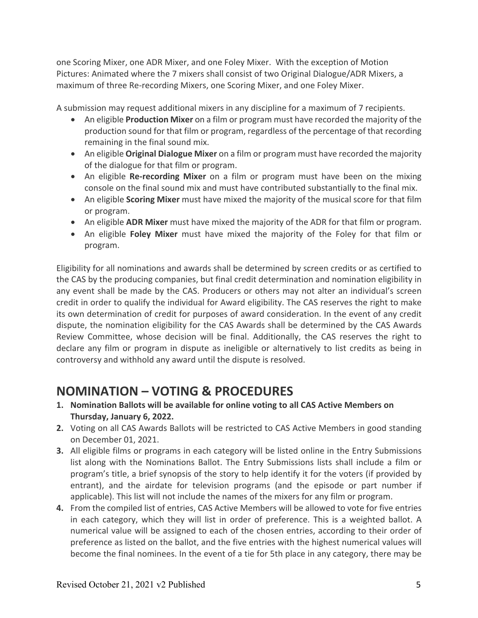one Scoring Mixer, one ADR Mixer, and one Foley Mixer. With the exception of Motion Pictures: Animated where the 7 mixers shall consist of two Original Dialogue/ADR Mixers, a maximum of three Re-recording Mixers, one Scoring Mixer, and one Foley Mixer.

A submission may request additional mixers in any discipline for a maximum of 7 recipients.

- An eligible **Production Mixer** on a film or program must have recorded the majority of the production sound for that film or program, regardless of the percentage of that recording remaining in the final sound mix.
- An eligible **Original Dialogue Mixer** on a film or program must have recorded the majority of the dialogue for that film or program.
- An eligible **Re-recording Mixer** on a film or program must have been on the mixing console on the final sound mix and must have contributed substantially to the final mix.
- An eligible **Scoring Mixer** must have mixed the majority of the musical score for that film or program.
- An eligible **ADR Mixer** must have mixed the majority of the ADR for that film or program.
- An eligible **Foley Mixer** must have mixed the majority of the Foley for that film or program.

Eligibility for all nominations and awards shall be determined by screen credits or as certified to the CAS by the producing companies, but final credit determination and nomination eligibility in any event shall be made by the CAS. Producers or others may not alter an individual's screen credit in order to qualify the individual for Award eligibility. The CAS reserves the right to make its own determination of credit for purposes of award consideration. In the event of any credit dispute, the nomination eligibility for the CAS Awards shall be determined by the CAS Awards Review Committee, whose decision will be final. Additionally, the CAS reserves the right to declare any film or program in dispute as ineligible or alternatively to list credits as being in controversy and withhold any award until the dispute is resolved.

# **NOMINATION – VOTING & PROCEDURES**

- **1. Nomination Ballots will be available for online voting to all CAS Active Members on Thursday, January 6, 2022.**
- **2.** Voting on all CAS Awards Ballots will be restricted to CAS Active Members in good standing on December 01, 2021.
- **3.** All eligible films or programs in each category will be listed online in the Entry Submissions list along with the Nominations Ballot. The Entry Submissions lists shall include a film or program's title, a brief synopsis of the story to help identify it for the voters (if provided by entrant), and the airdate for television programs (and the episode or part number if applicable). This list will not include the names of the mixers for any film or program.
- **4.** From the compiled list of entries, CAS Active Members will be allowed to vote for five entries in each category, which they will list in order of preference. This is a weighted ballot. A numerical value will be assigned to each of the chosen entries, according to their order of preference as listed on the ballot, and the five entries with the highest numerical values will become the final nominees. In the event of a tie for 5th place in any category, there may be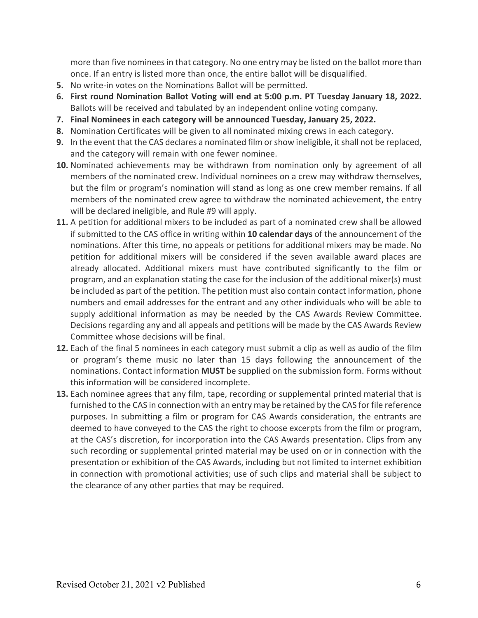more than five nominees in that category. No one entry may be listed on the ballot more than once. If an entry is listed more than once, the entire ballot will be disqualified.

- **5.** No write-in votes on the Nominations Ballot will be permitted.
- **6. First round Nomination Ballot Voting will end at 5:00 p.m. PT Tuesday January 18, 2022.**  Ballots will be received and tabulated by an independent online voting company.
- **7. Final Nominees in each category will be announced Tuesday, January 25, 2022.**
- **8.** Nomination Certificates will be given to all nominated mixing crews in each category.
- **9.** In the event that the CAS declares a nominated film or show ineligible, it shall not be replaced, and the category will remain with one fewer nominee.
- **10.** Nominated achievements may be withdrawn from nomination only by agreement of all members of the nominated crew. Individual nominees on a crew may withdraw themselves, but the film or program's nomination will stand as long as one crew member remains. If all members of the nominated crew agree to withdraw the nominated achievement, the entry will be declared ineligible, and Rule #9 will apply.
- **11.** A petition for additional mixers to be included as part of a nominated crew shall be allowed if submitted to the CAS office in writing within **10 calendar days** of the announcement of the nominations. After this time, no appeals or petitions for additional mixers may be made. No petition for additional mixers will be considered if the seven available award places are already allocated. Additional mixers must have contributed significantly to the film or program, and an explanation stating the case for the inclusion of the additional mixer(s) must be included as part of the petition. The petition must also contain contact information, phone numbers and email addresses for the entrant and any other individuals who will be able to supply additional information as may be needed by the CAS Awards Review Committee. Decisions regarding any and all appeals and petitions will be made by the CAS Awards Review Committee whose decisions will be final.
- **12.** Each of the final 5 nominees in each category must submit a clip as well as audio of the film or program's theme music no later than 15 days following the announcement of the nominations. Contact information **MUST** be supplied on the submission form. Forms without this information will be considered incomplete.
- **13.** Each nominee agrees that any film, tape, recording or supplemental printed material that is furnished to the CAS in connection with an entry may be retained by the CAS for file reference purposes. In submitting a film or program for CAS Awards consideration, the entrants are deemed to have conveyed to the CAS the right to choose excerpts from the film or program, at the CAS's discretion, for incorporation into the CAS Awards presentation. Clips from any such recording or supplemental printed material may be used on or in connection with the presentation or exhibition of the CAS Awards, including but not limited to internet exhibition in connection with promotional activities; use of such clips and material shall be subject to the clearance of any other parties that may be required.